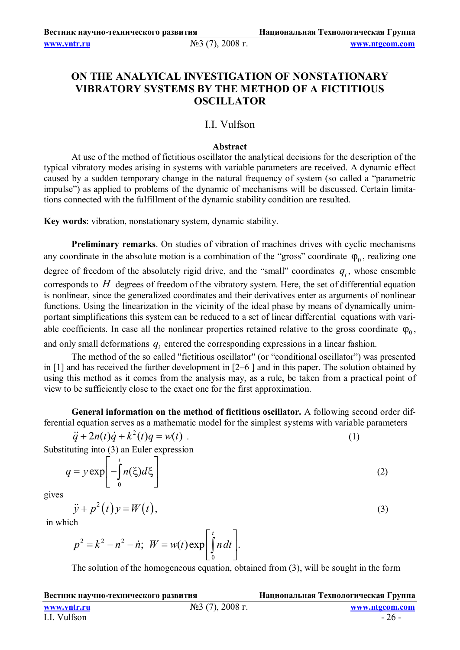**www.vntr.ru** №3 (7), 2008 г. **www.ntgcom.com**

# **ON THE ANALYICAL INVESTIGATION OF NONSTATIONARY VIBRATORY SYSTEMS BY THE METHOD OF A FICTITIOUS OSCILLATOR**

## I.I. Vulfson

### **Abstract**

At use of the method of fictitious oscillator the analytical decisions for the description of the typical vibratory modes arising in systems with variable parameters are received. A dynamic effect caused by a sudden temporary change in the natural frequency of system (so called a "parametric impulse") as applied to problems of the dynamic of mechanisms will be discussed. Certain limitations connected with the fulfillment of the dynamic stability condition are resulted.

**Key words**: vibration, nonstationary system, dynamic stability.

**Preliminary remarks**. On studies of vibration of machines drives with cyclic mechanisms any coordinate in the absolute motion is a combination of the "gross" coordinate  $\varphi_0$ , realizing one degree of freedom of the absolutely rigid drive, and the "small" coordinates  $q_i$ , whose ensemble corresponds to *H* degrees of freedom of the vibratory system. Here, the set of differential equation is nonlinear, since the generalized coordinates and their derivatives enter as arguments of nonlinear functions. Using the linearization in the vicinity of the ideal phase by means of dynamically unimportant simplifications this system can be reduced to a set of linear differential equations with variable coefficients. In case all the nonlinear properties retained relative to the gross coordinate  $\varphi_0$ ,

and only small deformations  $q_i$  entered the corresponding expressions in a linear fashion.

The method of the so called "fictitious oscillator" (or "conditional oscillator") was presented in [1] and has received the further development in [2–6 ] and in this paper. The solution obtained by using this method as it comes from the analysis may, as a rule, be taken from a practical point of view to be sufficiently close to the exact one for the first approximation.

**General information on the method of fictitious oscillator.** A following second order differential equation serves as a mathematic model for the simplest systems with variable parameters

 $\ddot{q} + 2n(t)\dot{q} + k^2(t)q = w(t)$  (1)

Substituting into (3) an Euler expression

0  $\exp \left[-\left(n(\xi)d\right)\right]$ *t*  $q = y \exp(-\int n(\xi) d\xi)$   $= y \exp \left[-\int_{0}^{1} n(\xi) d\xi\right]$ (2)

gives

$$
\ddot{y} + p^2(t)y = W(t),\tag{3}
$$

in which

$$
p^{2} = k^{2} - n^{2} - n; \ \ W = w(t) \exp \left[ \int_{0}^{t} n dt \right].
$$

The solution of the homogeneous equation, obtained from (3), will be sought in the form

| Вестник научно-технического развития |                    | Национальная Технологическая Группа |
|--------------------------------------|--------------------|-------------------------------------|
| www.vntr.ru                          | $N23$ (7), 2008 г. | www.ntgcom.com                      |
| I.I. Vulfson                         |                    | $-26-$                              |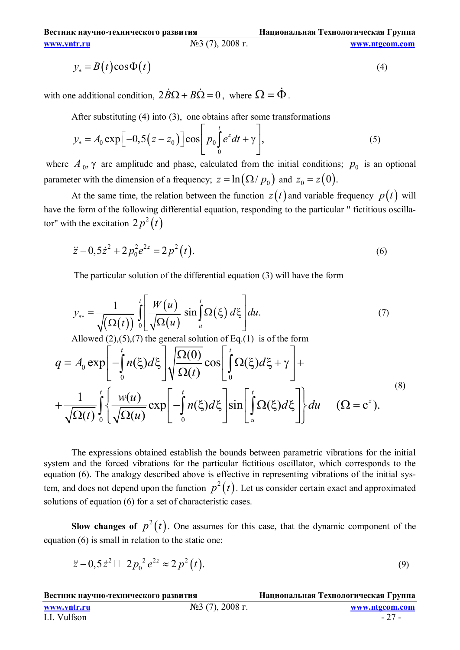**www.vntr.ru** №3 (7), 2008 г. **www.ntgcom.com**

$$
y_* = B(t)\cos\Phi(t) \tag{4}
$$

with one additional condition,  $2\dot{B}\Omega + B\dot{\Omega} = 0$ , where  $\Omega = \dot{\Phi}$ .

After substituting (4) into (3), one obtains after some transformations

$$
y_* = A_0 \exp\left[-0.5\left(z - z_0\right)\right] \cos\left[p_0 \int_0^t e^z dt + \gamma\right],\tag{5}
$$

where  $A_0$ ,  $\gamma$  are amplitude and phase, calculated from the initial conditions;  $p_0$  is an optional parameter with the dimension of a frequency;  $z = \ln(\Omega / p_0)$  and  $z_0 = z(0)$ .

At the same time, the relation between the function  $z(t)$  and variable frequency  $p(t)$  will have the form of the following differential equation, responding to the particular " fictitious oscillator" with the excitation  $2p^2(t)$ 

$$
\ddot{z} - 0, 5\dot{z}^2 + 2p_0^2 e^{2z} = 2p^2(t).
$$
 (6)

The particular solution of the differential equation (3) will have the form

$$
y_{**} = \frac{1}{\sqrt{(\Omega(t))}} \int_0^t \left[ \frac{W(u)}{\sqrt{\Omega(u)}} \sin \int_u^t \Omega(\xi) d\xi \right] du.
$$
 (7)

Allowed  $(2),(5),(7)$  the general solution of Eq.(1) is of the form

$$
q = A_0 \exp\left[-\int_0^t n(\xi)d\xi\right] \sqrt{\frac{\Omega(0)}{\Omega(t)}} \cos\left[\int_0^t \Omega(\xi)d\xi + \gamma\right] + \frac{1}{\sqrt{\Omega(t)}} \int_0^t \sqrt{\frac{w(u)}{\Omega(u)}} \exp\left[-\int_0^t n(\xi)d\xi\right] \sin\left[\int_u^t \Omega(\xi)d\xi\right] \, du \quad (\Omega = e^z).
$$
\n(8)

The expressions obtained establish the bounds between parametric vibrations for the initial system and the forced vibrations for the particular fictitious oscillator, which corresponds to the equation (6). The analogy described above is effective in representing vibrations of the initial system, and does not depend upon the function  $p^2(t)$ . Let us consider certain exact and approximated solutions of equation (6) for a set of characteristic cases.

**Slow changes of**  $p^2(t)$ . One assumes for this case, that the dynamic component of the equation (6) is small in relation to the static one:

$$
\ddot{z} - 0.5 \dot{z}^2 \Box 2 p_0^2 e^{2z} \approx 2 p^2(t).
$$
 (9)

**Вестник научно-технического развития Национальная Технологическая Группа www.vntr.ru** №3 (7), 2008 г. <u>www.ntgcom.com</u><br>II Vulfson <u>27</u> I.I. Vulfson - 27 -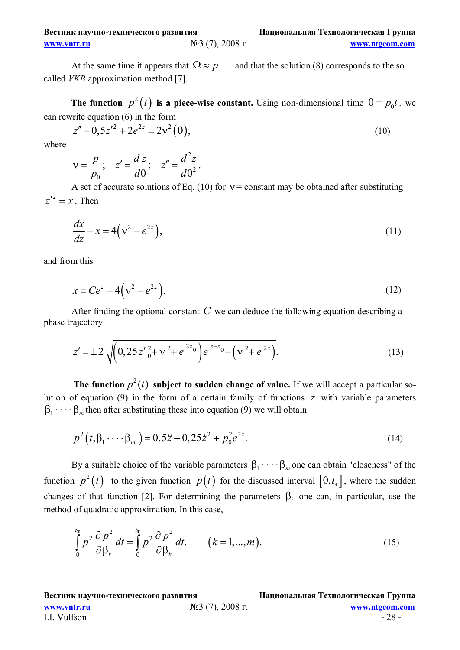| Вестник научно-технического развития |                    | Национальная Технологическая Группа |
|--------------------------------------|--------------------|-------------------------------------|
| www.vntr.ru                          | $N03$ (7), 2008 г. | www.ntgcom.com                      |

At the same time it appears that  $\Omega \approx p$  and that the solution (8) corresponds to the so called *VKB* approximation method [7].

The function  $p^2(t)$  is a piece-wise constant. Using non-dimensional time  $\theta = p_0 t$ , we can rewrite equation (6) in the form

$$
z'' - 0.5z'^2 + 2e^{2z} = 2v^2(\theta),
$$
\n(10)

where

$$
v = \frac{p}{p_0}; \quad z' = \frac{dz}{d\theta}; \quad z'' = \frac{d^2z}{d\theta^2}.
$$

A set of accurate solutions of Eq. (10) for  $v =$  constant may be obtained after substituting  $z'^2 = x$ . Then

$$
\frac{dx}{dz} - x = 4\left(v^2 - e^{2z}\right),\tag{11}
$$

and from this

$$
x = Ce^z - 4(v^2 - e^{2z}).
$$
\n(12)

After finding the optional constant *C* we can deduce the following equation describing a phase trajectory

$$
z' = \pm 2 \sqrt{\left(0, 25 z'_{0}^{2} + v^{2} + e^{2z_{0}}\right)} e^{z-z_{0}} - \left(v^{2} + e^{2z}\right).
$$
 (13)

**The function**  $p^2(t)$  subject to sudden change of value. If we will accept a particular solution of equation (9) in the form of a certain family of functions *z* with variable parameters  $\beta_1 \cdots \beta_m$  then after substituting these into equation (9) we will obtain

$$
p^{2}(t, \beta_{1} \cdots \beta_{m}) = 0, 5\ddot{z} - 0, 25\dot{z}^{2} + p_{0}^{2}e^{2z}.
$$
 (14)

By a suitable choice of the variable parameters  $\beta_1 \cdots \beta_m$  one can obtain "closeness" of the function  $p^2(t)$  to the given function  $p(t)$  for the discussed interval  $[0,t_*]$ , where the sudden changes of that function [2]. For determining the parameters  $\beta_i$  one can, in particular, use the method of quadratic approximation. In this case,

$$
\int_{0}^{t_{*}} p^{2} \frac{\partial p^{2}}{\partial \beta_{k}} dt = \int_{0}^{t_{*}} p^{2} \frac{\partial p^{2}}{\partial \beta_{k}} dt. \qquad (k = 1, ..., m).
$$
 (15)

**Вестник научно-технического развития Национальная Технологическая Группа www.vntr.ru** №3 (7), 2008 г. <u>www.ntgcom.com</u><br>II Vulfson <u>28</u>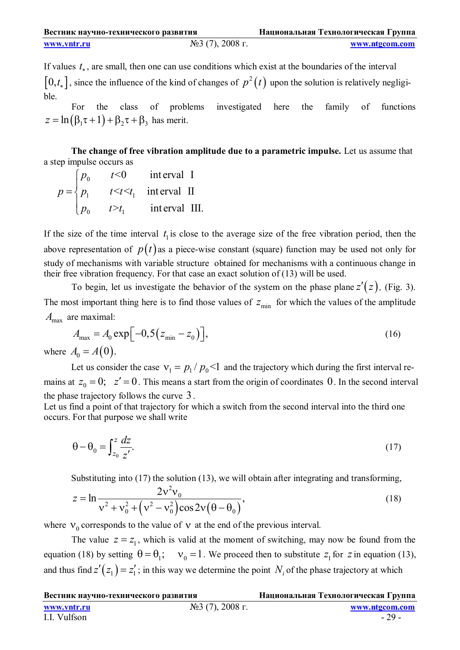| Вестник научно-технического развития |                    | Национальная Технологическая Группа |
|--------------------------------------|--------------------|-------------------------------------|
| www.vntr.ru                          | $N23$ (7), 2008 г. | www.ntgcom.com                      |

If values *t* , are small, then one can use conditions which exist at the boundaries of the interval  $[0,t_*]$ , since the influence of the kind of changes of  $p^2(t)$  upon the solution is relatively negligible.

For the class of problems investigated here the family of functions  $z = \ln(\beta_1 \tau + 1) + \beta_2 \tau + \beta_3$  has merit.

**The change of free vibration amplitude due to a parametric impulse.** Let us assume that a step impulse occurs as

|                   | $ p_0 $ | t<0       | interval I                      |
|-------------------|---------|-----------|---------------------------------|
| $p = \langle p_1$ |         |           | $t \leq t \leq t_1$ interval II |
|                   | $ p_0 $ | $t > t_1$ | interval III.                   |

If the size of the time interval  $t_1$  is close to the average size of the free vibration period, then the above representation of  $p(t)$  as a piece-wise constant (square) function may be used not only for study of mechanisms with variable structure obtained for mechanisms with a continuous change in their free vibration frequency. For that case an exact solution of (13) will be used.

To begin, let us investigate the behavior of the system on the phase plane  $z'(z)$ , (Fig. 3). The most important thing here is to find those values of  $z_{\text{min}}$  for which the values of the amplitude *A*<sub>max</sub> are maximal:

$$
A_{\text{max}} = A_0 \exp\left[-0.5\left(z_{\text{min}} - z_0\right)\right],\tag{16}
$$

where  $A_0 = A(0)$ .

Let us consider the case  $v_1 = p_1 / p_0 < 1$  and the trajectory which during the first interval remains at  $z_0 = 0$ ;  $z' = 0$ . This means a start from the origin of coordinates 0. In the second interval the phase trajectory follows the curve 3.

Let us find a point of that trajectory for which a switch from the second interval into the third one occurs. For that purpose we shall write

$$
\theta - \theta_0 = \int_{z_0}^{z} \frac{dz}{z'}.
$$
\n(17)

Substituting into (17) the solution (13), we will obtain after integrating and transforming,

$$
z = \ln \frac{2v^2v_0}{v^2 + v_0^2 + (v^2 - v_0^2)\cos 2v(\theta - \theta_0)},
$$
\n(18)

where  $V_0$  corresponds to the value of  $V$  at the end of the previous interval.

The value  $z = z_1$ , which is valid at the moment of switching, may now be found from the equation (18) by setting  $\theta = \theta_1$ ;  $v_0 = 1$ . We proceed then to substitute  $z_1$  for  $z$  in equation (13), and thus find  $z'(z_1) = z'_1$ ; in this way we determine the point  $N_i$  of the phase trajectory at which

| Вестник научно-технического развития |                    | Национальная Технологическая Группа |
|--------------------------------------|--------------------|-------------------------------------|
| www.yntr.ru                          | $N23$ (7), 2008 г. | www.ntgcom.com                      |
| I.I. Vulfson                         |                    | $-29-$                              |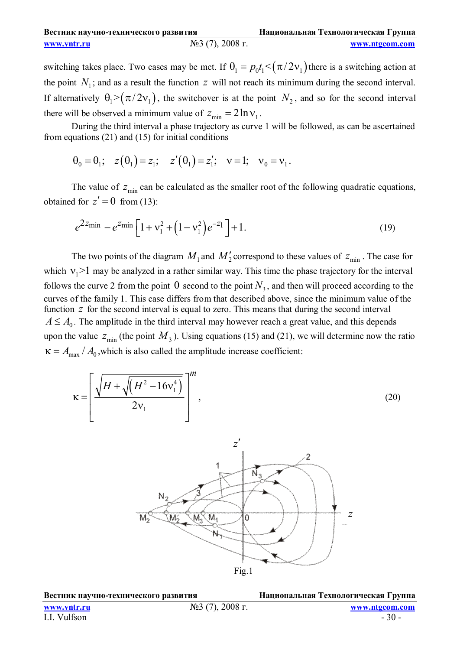| Вестник научно-технического развития |                    | Национальная Технологическая Группа |
|--------------------------------------|--------------------|-------------------------------------|
| www.vntr.ru                          | $N23$ (7), 2008 г. | www.ntgcom.com                      |

switching takes place. Two cases may be met. If  $\theta_1 = p_0 t_1 < (\pi/2v_1)$  there is a switching action at the point  $N_1$ ; and as a result the function  $z$  will not reach its minimum during the second interval. If alternatively  $\theta_1 > (\pi/2v_1)$ , the switchover is at the point  $N_2$ , and so for the second interval there will be observed a minimum value of  $z_{\text{min}} = 2 \ln v_1$ .

During the third interval a phase trajectory as curve 1 will be followed, as can be ascertained from equations (21) and (15) for initial conditions

$$
\theta_0 = \theta_1;
$$
  $z(\theta_1) = z_1;$   $z'(\theta_1) = z'_1;$   $v = 1;$   $v_0 = v_1.$ 

The value of  $z_{\text{min}}$  can be calculated as the smaller root of the following quadratic equations, obtained for  $z' = 0$  from (13):

$$
e^{2z_{\min}} - e^{z_{\min}} \left[ 1 + v_1^2 + \left( 1 - v_1^2 \right) e^{-z_1} \right] + 1. \tag{19}
$$

The two points of the diagram  $M_1$  and  $M_2'$  correspond to these values of  $z_{\text{min}}$ . The case for which  $v_1$ >1 may be analyzed in a rather similar way. This time the phase trajectory for the interval follows the curve 2 from the point  $0$  second to the point  $N_3$ , and then will proceed according to the curves of the family 1. This case differs from that described above, since the minimum value of the function *z* for the second interval is equal to zero. This means that during the second interval  $A \leq A_0$ . The amplitude in the third interval may however reach a great value, and this depends upon the value  $z_{\text{min}}$  (the point  $M_3$ ). Using equations (15) and (21), we will determine now the ratio  $\kappa = A_{\text{max}} / A_0$ , which is also called the amplitude increase coefficient:





**Вестник научно-технического развития Национальная Технологическая Группа**

**www.vntr.ru** №3 (7), 2008 г. **www.ntgcom.com**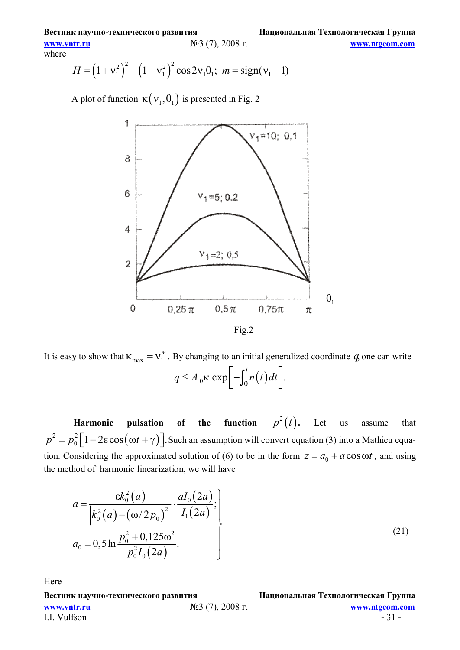**www.vntr.ru** №3 (7), 2008 г. **www.ntgcom.com** where

$$
H = (1 + v_1^2)^2 - (1 - v_1^2)^2 \cos 2v_1 \theta_1; \ m = sign(v_1 - 1)
$$

A plot of function  $\kappa(v_1, \theta_1)$  is presented in Fig. 2



It is easy to show that  $\kappa_{\text{max}} = v_1^m$ . By changing to an initial generalized coordinate *q*, one can write  $q \leq A_0 \kappa \exp\left[-\int_0^t n(t) dt\right].$ 

 **Harmonic pulsation of the function**   $p^2(t)$ . Let us assume that  $2^2 = p_0^2 \left[1 - 2\varepsilon \cos(\omega t + \gamma)\right]$  $p^2 = p_0^2 \left[1 - 2\varepsilon \cos(\omega t + \gamma)\right]$ . Such an assumption will convert equation (3) into a Mathieu equation. Considering the approximated solution of (6) to be in the form  $z = a_0 + a \cos \omega t$ , and using the method of harmonic linearization, we will have

$$
a = \frac{\varepsilon k_0^2(a)}{\left| k_0^2(a) - (\omega/2p_0)^2 \right|} \cdot \frac{aI_0(2a)}{I_1(2a)}; a_0 = 0, 5 \ln \frac{p_0^2 + 0, 125\omega^2}{p_0^2 I_0(2a)}.
$$
\n(21)

Here

**Вестник научно-технического развития Национальная Технологическая Группа**

I.I. Vulfson - 31 -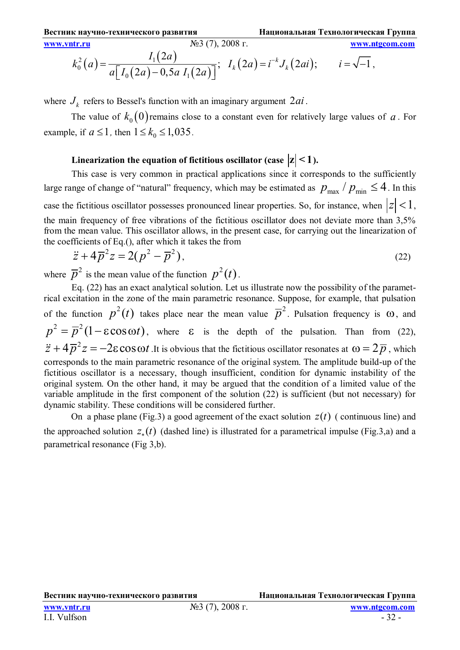$$
\frac{\text{www.vntr.ru}}{k_0^2(a)} = \frac{I_1(2a)}{a\left[I_0(2a) - 0, 5a I_1(2a)\right]}; \quad I_k(2a) = i^{-k}J_k(2ai); \quad i = \sqrt{-1},
$$

where  $J_k$  refers to Bessel's function with an imaginary argument  $2ai$ .

The value of  $k_0(0)$  remains close to a constant even for relatively large values of *a*. For example, if  $a \le 1$ , then  $1 \le k_0 \le 1,035$ .

# Linearization the equation of fictitious oscillator (case  $|z| < 1$ ).

This case is very common in practical applications since it corresponds to the sufficiently large range of change of "natural" frequency, which may be estimated as  $p_{\text{max}}/p_{\text{min}} \leq 4$ . In this case the fictitious oscillator possesses pronounced linear properties. So, for instance, when  $|z|$  < 1, the main frequency of free vibrations of the fictitious oscillator does not deviate more than 3,5% from the mean value. This oscillator allows, in the present case, for carrying out the linearization of the coefficients of Eq.(), after which it takes the from

$$
\ddot{z} + 4\overline{p}^2 z = 2(p^2 - \overline{p}^2),
$$
\n(22)

where  $\overline{p}^2$  is the mean value of the function  $p^2(t)$ .

Eq. (22) has an exact analytical solution. Let us illustrate now the possibility of the parametrical excitation in the zone of the main parametric resonance. Suppose, for example, that pulsation of the function  $p^2(t)$  takes place near the mean value  $\overline{p}^2$ . Pulsation frequency is  $\omega$ , and  $p^2 = \overline{p}^2 (1 - \varepsilon \cos \omega t)$ , where  $\varepsilon$  is the depth of the pulsation. Than from (22),  $\ddot{z} + 4\overline{p}^2 z = -2\varepsilon \cos \omega t$ . It is obvious that the fictitious oscillator resonates at  $\omega = 2\overline{p}$ , which corresponds to the main parametric resonance of the original system. The amplitude build-up of the fictitious oscillator is a necessary, though insufficient, condition for dynamic instability of the original system. On the other hand, it may be argued that the condition of a limited value of the variable amplitude in the first component of the solution (22) is sufficient (but not necessary) for dynamic stability. These conditions will be considered further.

On a phase plane (Fig.3) a good agreement of the exact solution  $z(t)$  (continuous line) and the approached solution  $z_*(t)$  (dashed line) is illustrated for a parametrical impulse (Fig.3,a) and a parametrical resonance (Fig 3,b).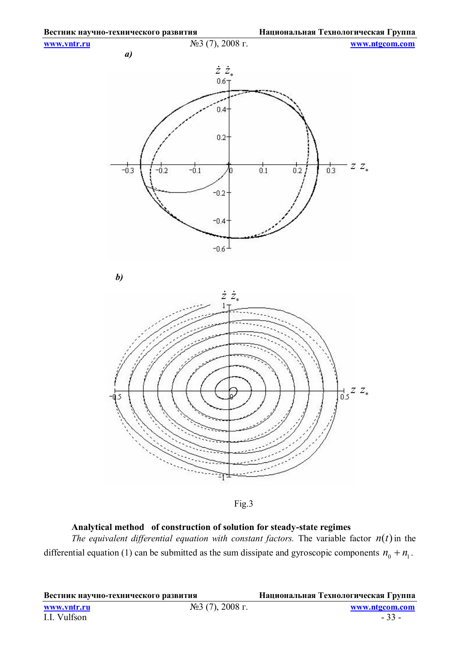

Fig.3

### **Analytical method of construction of solution for steady-state regimes**

*The equivalent differential equation with constant factors.* The variable factor  $n(t)$  in the differential equation (1) can be submitted as the sum dissipate and gyroscopic components  $n_0 + n_1$ .

**Вестник научно-технического развития Национальная Технологическая Группа**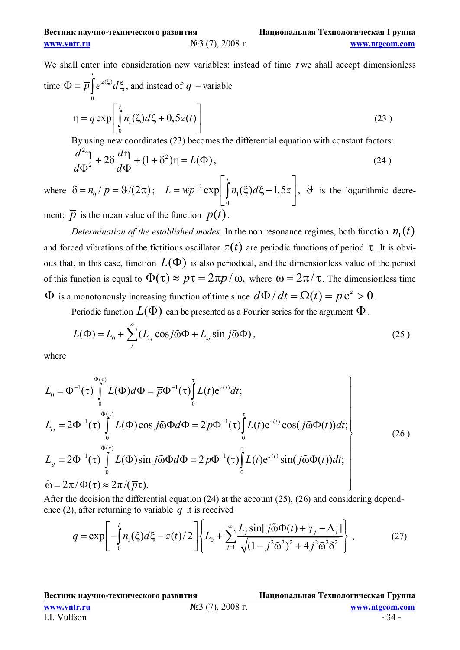**www.vntr.ru** №3 (7), 2008 г. **www.ntgcom.com**

We shall enter into consideration new variables: instead of time *t* we shall accept dimensionless  
time 
$$
\Phi = \overline{p} \int_{0}^{t} e^{z(\xi)} d\xi
$$
, and instead of  $q$  – variable  

$$
\eta = q \exp \left[ \int_{0}^{t} n_1(\xi) d\xi + 0, 5z(t) \right]
$$
(23)  
By using new coordinates (23) becomes the differential equation with constant factors:

$$
\frac{d^2\eta}{d\Phi^2} + 2\delta \frac{d\eta}{d\Phi} + (1 + \delta^2)\eta = L(\Phi),\tag{24}
$$

where  $\delta = n_0 / \bar{p} = 9/(2\pi); L = w\bar{p}^{-2}$ 1  $\boldsymbol{0}$  $\exp \left[ \int n_1(\xi) d\xi - 1, 5 \right]$ *t*  $L = w\overline{p}^{-2} \exp \left[ \int n_1(\xi) d\xi - 1, 5z \right]$   $= w\overline{p}^{-2} \exp \left[ \int_0^1 n_1(\xi) d\xi - 1, 5z \right], \quad \Theta$  is the logarithmic decrement;  $\overline{p}$  is the mean value of the function  $p(t)$ .

*Determination of the established modes.* In the non resonance regimes, both function  $n_1(t)$ and forced vibrations of the fictitious oscillator  $z(t)$  are periodic functions of period  $\tau$ . It is obvious that, in this case, function  $L(\Phi)$  is also periodical, and the dimensionless value of the period of this function is equal to  $\Phi(\tau) \approx \overline{p}\tau = 2\pi\overline{p}/\omega$ , where  $\omega = 2\pi/\tau$ . The dimensionless time  $\Phi$  is a monotonously increasing function of time since  $d\Phi/dt = \Omega(t) = \overline{p} e^z > 0$ .

Periodic function  $L(\Phi)$  can be presented as a Fourier series for the argument  $\Phi$ .

$$
L(\Phi) = L_0 + \sum_{j}^{\infty} (L_{cj} \cos j \tilde{\omega} \Phi + L_{sj} \sin j \tilde{\omega} \Phi), \qquad (25)
$$

where

$$
L_0 = \Phi^{-1}(\tau) \int_0^{\Phi(\tau)} L(\Phi) d\Phi = \overline{p} \Phi^{-1}(\tau) \int_0^{\tau} L(t) e^{z(t)} dt;
$$
  
\n
$$
L_{cj} = 2\Phi^{-1}(\tau) \int_0^{\Phi(\tau)} L(\Phi) \cos j\tilde{\omega} d\Phi = 2\overline{p} \Phi^{-1}(\tau) \int_0^{\tau} L(t) e^{z(t)} \cos(j\tilde{\omega} \Phi(t)) dt;
$$
  
\n
$$
L_{sj} = 2\Phi^{-1}(\tau) \int_0^{\Phi(\tau)} L(\Phi) \sin j\tilde{\omega} \Phi d\Phi = 2\overline{p} \Phi^{-1}(\tau) \int_0^{\tau} L(t) e^{z(t)} \sin(j\tilde{\omega} \Phi(t)) dt;
$$
  
\n
$$
\tilde{\omega} = 2\pi/\Phi(\tau) \approx 2\pi/(\overline{p}\tau).
$$
\n(26)

After the decision the differential equation (24) at the account (25), (26) and considering dependence (2), after returning to variable *q* it is received

$$
q = \exp\left[-\int_{0}^{t} n_{1}(\xi)d\xi - z(t)/2\right]\left\{L_{0} + \sum_{j=1}^{\infty} \frac{L_{j}\sin[j\tilde{\omega}\Phi(t) + \gamma_{j} - \Delta_{j}]}{\sqrt{(1 - j^{2}\tilde{\omega}^{2})^{2} + 4j^{2}\tilde{\omega}^{2}\delta^{2}}}\right\},
$$
(27)

**Вестник научно-технического развития Национальная Технологическая Группа**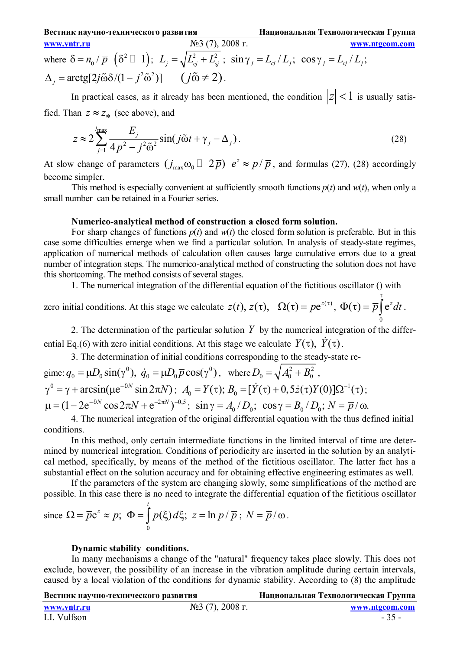**Вестник научно-технического развития Национальная Технологическая Группа www.vntr.ru** №3 (7), 2008 г. **www.ntgcom.com** where  $\delta = n_0 / \overline{p} \left( \delta^2 \Box 1 \right)$  $\delta = n_0 / \bar{p} \left( \delta^2 \Box 1 \right); L_j = \sqrt{L_{ci}^2 + L_{sj}^2} ; \sin \gamma_j = L_{cj} / L_j; \cos \gamma_j = L_{cj} / L_j;$  $\Delta_i = \arctg[2j\tilde{\omega}\delta/(1 - j^2\tilde{\omega}^2)]$   $(j\tilde{\omega} \neq 2)$ .

In practical cases, as it already has been mentioned, the condition  $|z| < 1$  is usually satisfied. Than  $z \approx z_*$  (see above), and

$$
z \approx 2 \sum_{j=1}^{j_{\text{max}}} \frac{E_j}{4 \overline{p}^2 - j^2 \tilde{\omega}^2} \sin(j \tilde{\omega} t + \gamma_j - \Delta_j). \tag{28}
$$

At slow change of parameters  $(j_{\text{max}} \omega_0 \Box 2\bar{p})$   $e^z \approx p/\bar{p}$ , and formulas (27), (28) accordingly become simpler.

This method is especially convenient at sufficiently smooth functions  $p(t)$  and  $w(t)$ , when only a small number can be retained in a Fourier series.

### **Numerico-analytical method of construction a closed form solution.**

For sharp changes of functions  $p(t)$  and  $w(t)$  the closed form solution is preferable. But in this case some difficulties emerge when we find a particular solution. In analysis of steady-state regimes, application of numerical methods of calculation often causes large cumulative errors due to a great number of integration steps. The numerico-analytical method of constructing the solution does not have this shortcoming. The method consists of several stages.

1. The numerical integration of the differential equation of the fictitious oscillator () with

zero initial conditions. At this stage we calculate  $z(t)$ ,  $z(\tau)$ ,  $\Omega(\tau) = pe^{z(\tau)}$ ,  $\Phi(\tau) = \overline{p} \int e^{z} dt$ 0 τ  $\Phi(\tau) = \overline{p} \int e^z dt$ .

2. The determination of the particular solution *Y* by the numerical integration of the differential Eq.(6) with zero initial conditions. At this stage we calculate  $Y(\tau)$ ,  $\dot{Y}(\tau)$ .

3. The determination of initial conditions corresponding to the steady-state re-

gime:  $q_0 = \mu D_0 \sin(\gamma^0)$ ,  $\dot{q}_0 = \mu D_0 \overline{p} \cos(\gamma^0)$ , where  $D_0 = \sqrt{A_0^2 + B_0^2}$ ,  $\gamma^0 = \gamma + \arcsin(\mu e^{-3N} \sin 2\pi N); \ A_0 = Y(\tau); B_0 = [\dot{Y}(\tau) + 0.5\dot{z}(\tau)Y(0)]\Omega^{-1}(\tau);$  $\mu = (1 - 2e^{-9N} \cos 2\pi N + e^{-2\pi N})^{-0.5}$ ;  $\sin \gamma = A_0 / D_0$ ;  $\cos \gamma = B_0 / D_0$ ;  $N = \bar{p} / \omega$ .

4. The numerical integration of the original differential equation with the thus defined initial conditions.

In this method, only certain intermediate functions in the limited interval of time are determined by numerical integration. Conditions of periodicity are inserted in the solution by an analytical method, specifically, by means of the method of the fictitious oscillator. The latter fact has a substantial effect on the solution accuracy and for obtaining effective engineering estimates as well.

If the parameters of the system are changing slowly, some simplifications of the method are possible. In this case there is no need to integrate the differential equation of the fictitious oscillator

since 
$$
\Omega = \overline{p}e^z \approx p
$$
;  $\Phi = \int_0^t p(\xi) d\xi$ ;  $z = \ln p/\overline{p}$ ;  $N = \overline{p}/\omega$ .

### **Dynamic stability conditions.**

In many mechanisms a change of the "natural" frequency takes place slowly. This does not exclude, however, the possibility of an increase in the vibration amplitude during certain intervals, caused by a local violation of the conditions for dynamic stability. According to (8) the amplitude

**Вестник научно-технического развития Национальная Технологическая Группа**

I.I. Vulfson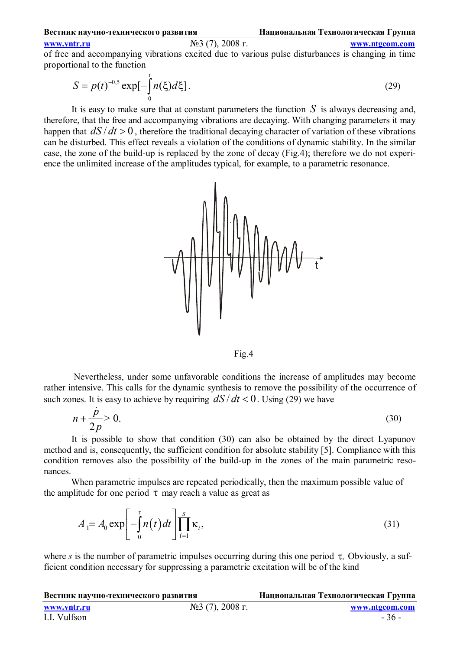### **www.vntr.ru** №3 (7), 2008 г. **www.ntgcom.com**

of free and accompanying vibrations excited due to various pulse disturbances is changing in time proportional to the function

$$
S = p(t)^{-0.5} \exp[-\int_{0}^{t} n(\xi)d\xi].
$$
 (29)

It is easy to make sure that at constant parameters the function *S* is always decreasing and, therefore, that the free and accompanying vibrations are decaying. With changing parameters it may happen that  $dS/dt > 0$ , therefore the traditional decaying character of variation of these vibrations can be disturbed. This effect reveals a violation of the conditions of dynamic stability. In the similar case, the zone of the build-up is replaced by the zone of decay (Fig.4); therefore we do not experience the unlimited increase of the amplitudes typical, for example, to a parametric resonance.



Fig.4

 Nevertheless, under some unfavorable conditions the increase of amplitudes may become rather intensive. This calls for the dynamic synthesis to remove the possibility of the occurrence of such zones. It is easy to achieve by requiring  $dS/dt < 0$ . Using (29) we have

$$
n + \frac{\dot{p}}{2p} > 0. \tag{30}
$$

It is possible to show that condition (30) can also be obtained by the direct Lyapunov method and is, consequently, the sufficient condition for absolute stability [5]. Compliance with this condition removes also the possibility of the build-up in the zones of the main parametric resonances.

When parametric impulses are repeated periodically, then the maximum possible value of the amplitude for one period  $\tau$  may reach a value as great as

$$
A_{1} = A_{0} \exp\left[-\int_{0}^{\tau} n(t)dt\right] \prod_{i=1}^{s} \kappa_{i},
$$
\n(31)

where *s* is the number of parametric impulses occurring during this one period  $\tau$ . Obviously, a sufficient condition necessary for suppressing a parametric excitation will be of the kind

| Вестник научно-технического развития |                                           | Национальная Технологическая Группа |
|--------------------------------------|-------------------------------------------|-------------------------------------|
| www.yntr.ru                          | $\mathcal{N}$ <sup>o</sup> 3 (7), 2008 г. | www.ntgcom.com                      |
| I.I. Vulfson                         |                                           | $-36-$                              |